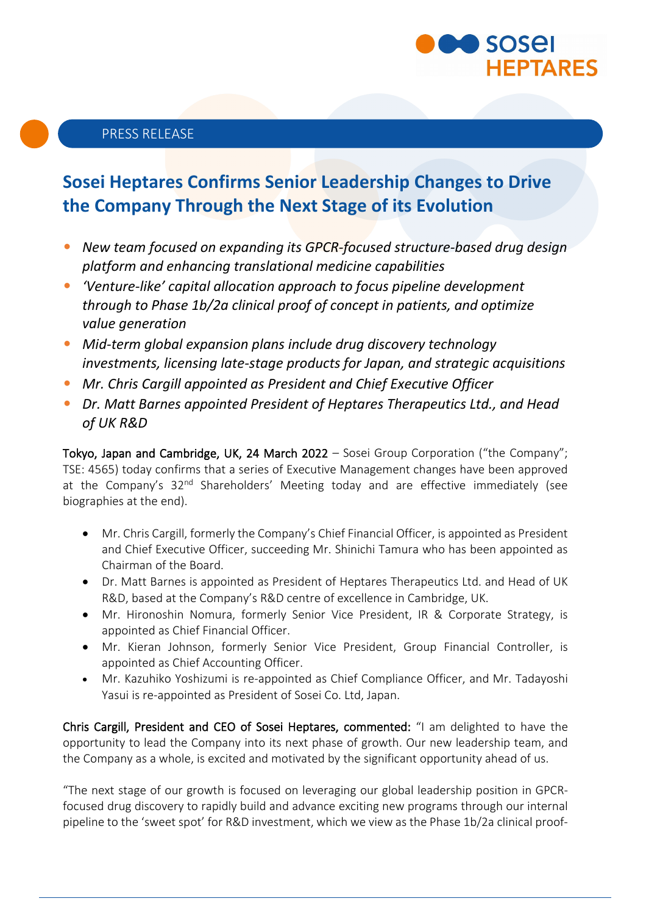

# **Sosei Heptares Confirms Senior Leadership Changes to Drive the Company Through the Next Stage of its Evolution**

- *New team focused on expanding its GPCR-focused structure-based drug design platform and enhancing translational medicine capabilities*
- *'Venture-like' capital allocation approach to focus pipeline development through to Phase 1b/2a clinical proof of concept in patients, and optimize value generation*
- *Mid-term global expansion plans include drug discovery technology investments, licensing late-stage products for Japan, and strategic acquisitions*
- *Mr. Chris Cargill appointed as President and Chief Executive Officer*
- *Dr. Matt Barnes appointed President of Heptares Therapeutics Ltd., and Head of UK R&D*

Tokyo, Japan and Cambridge, UK, 24 March 2022 - Sosei Group Corporation ("the Company"; TSE: 4565) today confirms that a series of Executive Management changes have been approved at the Company's 32<sup>nd</sup> Shareholders' Meeting today and are effective immediately (see biographies at the end).

- Mr. Chris Cargill, formerly the Company's Chief Financial Officer, is appointed as President and Chief Executive Officer, succeeding Mr. Shinichi Tamura who has been appointed as Chairman of the Board.
- Dr. Matt Barnes is appointed as President of Heptares Therapeutics Ltd. and Head of UK R&D, based at the Company's R&D centre of excellence in Cambridge, UK.
- Mr. Hironoshin Nomura, formerly Senior Vice President, IR & Corporate Strategy, is appointed as Chief Financial Officer.
- Mr. Kieran Johnson, formerly Senior Vice President, Group Financial Controller, is appointed as Chief Accounting Officer.
- Mr. Kazuhiko Yoshizumi is re-appointed as Chief Compliance Officer, and Mr. Tadayoshi Yasui is re-appointed as President of Sosei Co. Ltd, Japan.

Chris Cargill, President and CEO of Sosei Heptares, commented: "I am delighted to have the opportunity to lead the Company into its next phase of growth. Our new leadership team, and the Company as a whole, is excited and motivated by the significant opportunity ahead of us.

"The next stage of our growth is focused on leveraging our global leadership position in GPCRfocused drug discovery to rapidly build and advance exciting new programs through our internal pipeline to the 'sweet spot' for R&D investment, which we view as the Phase 1b/2a clinical proof-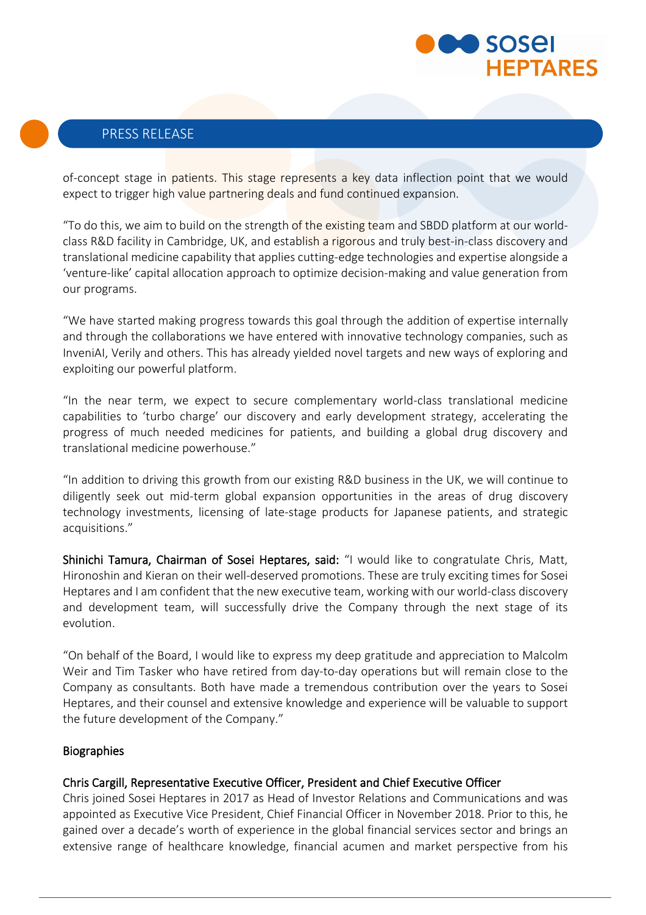

## PRESS RELEASE

of-concept stage in patients. This stage represents a key data inflection point that we would expect to trigger high value partnering deals and fund continued expansion.

"To do this, we aim to build on the strength of the existing team and SBDD platform at our worldclass R&D facility in Cambridge, UK, and establish a rigorous and truly best-in-class discovery and translational medicine capability that applies cutting-edge technologies and expertise alongside a 'venture-like' capital allocation approach to optimize decision-making and value generation from our programs.

"We have started making progress towards this goal through the addition of expertise internally and through the collaborations we have entered with innovative technology companies, such as InveniAI, Verily and others. This has already yielded novel targets and new ways of exploring and exploiting our powerful platform.

"In the near term, we expect to secure complementary world-class translational medicine capabilities to 'turbo charge' our discovery and early development strategy, accelerating the progress of much needed medicines for patients, and building a global drug discovery and translational medicine powerhouse."

"In addition to driving this growth from our existing R&D business in the UK, we will continue to diligently seek out mid-term global expansion opportunities in the areas of drug discovery technology investments, licensing of late-stage products for Japanese patients, and strategic acquisitions."

Shinichi Tamura, Chairman of Sosei Heptares, said: "I would like to congratulate Chris, Matt, Hironoshin and Kieran on their well-deserved promotions. These are truly exciting times for Sosei Heptares and I am confident that the new executive team, working with our world-class discovery and development team, will successfully drive the Company through the next stage of its evolution.

"On behalf of the Board, I would like to express my deep gratitude and appreciation to Malcolm Weir and Tim Tasker who have retired from day-to-day operations but will remain close to the Company as consultants. Both have made a tremendous contribution over the years to Sosei Heptares, and their counsel and extensive knowledge and experience will be valuable to support the future development of the Company."

#### **Biographies**

#### Chris Cargill, Representative Executive Officer, President and Chief Executive Officer

Chris joined Sosei Heptares in 2017 as Head of Investor Relations and Communications and was appointed as Executive Vice President, Chief Financial Officer in November 2018. Prior to this, he gained over a decade's worth of experience in the global financial services sector and brings an extensive range of healthcare knowledge, financial acumen and market perspective from his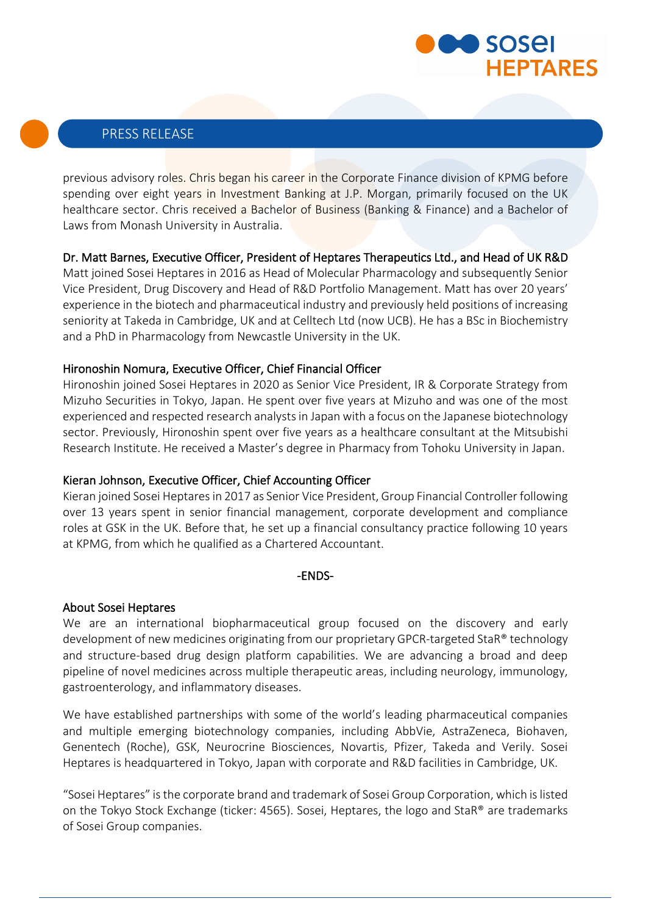

## PRESS RELEASE

previous advisory roles. Chris began his career in the Corporate Finance division of KPMG before spending over eight years in Investment Banking at J.P. Morgan, primarily focused on the UK healthcare sector. Chris received a Bachelor of Business (Banking & Finance) and a Bachelor of Laws from Monash University in Australia.

### Dr. Matt Barnes, Executive Officer, President of Heptares Therapeutics Ltd., and Head of UK R&D

Matt joined Sosei Heptares in 2016 as Head of Molecular Pharmacology and subsequently Senior Vice President, Drug Discovery and Head of R&D Portfolio Management. Matt has over 20 years' experience in the biotech and pharmaceutical industry and previously held positions of increasing seniority at Takeda in Cambridge, UK and at Celltech Ltd (now UCB). He has a BSc in Biochemistry and a PhD in Pharmacology from Newcastle University in the UK.

#### Hironoshin Nomura, Executive Officer, Chief Financial Officer

Hironoshin joined Sosei Heptares in 2020 as Senior Vice President, IR & Corporate Strategy from Mizuho Securities in Tokyo, Japan. He spent over five years at Mizuho and was one of the most experienced and respected research analysts in Japan with a focus on the Japanese biotechnology sector. Previously, Hironoshin spent over five years as a healthcare consultant at the Mitsubishi Research Institute. He received a Master's degree in Pharmacy from Tohoku University in Japan.

#### Kieran Johnson, Executive Officer, Chief Accounting Officer

Kieran joined Sosei Heptares in 2017 as Senior Vice President, Group Financial Controller following over 13 years spent in senior financial management, corporate development and compliance roles at GSK in the UK. Before that, he set up a financial consultancy practice following 10 years at KPMG, from which he qualified as a Chartered Accountant.

#### -ENDS-

#### About Sosei Heptares

We are an international biopharmaceutical group focused on the discovery and early development of new medicines originating from our proprietary GPCR-targeted StaR® technology and structure-based drug design platform capabilities. We are advancing a broad and deep pipeline of novel medicines across multiple therapeutic areas, including neurology, immunology, gastroenterology, and inflammatory diseases.

We have established partnerships with some of the world's leading pharmaceutical companies and multiple emerging biotechnology companies, including AbbVie, AstraZeneca, Biohaven, Genentech (Roche), GSK, Neurocrine Biosciences, Novartis, Pfizer, Takeda and Verily. Sosei Heptares is headquartered in Tokyo, Japan with corporate and R&D facilities in Cambridge, UK.

"Sosei Heptares" is the corporate brand and trademark of Sosei Group Corporation, which is listed on the Tokyo Stock Exchange (ticker: 4565). Sosei, Heptares, the logo and StaR® are trademarks of Sosei Group companies.